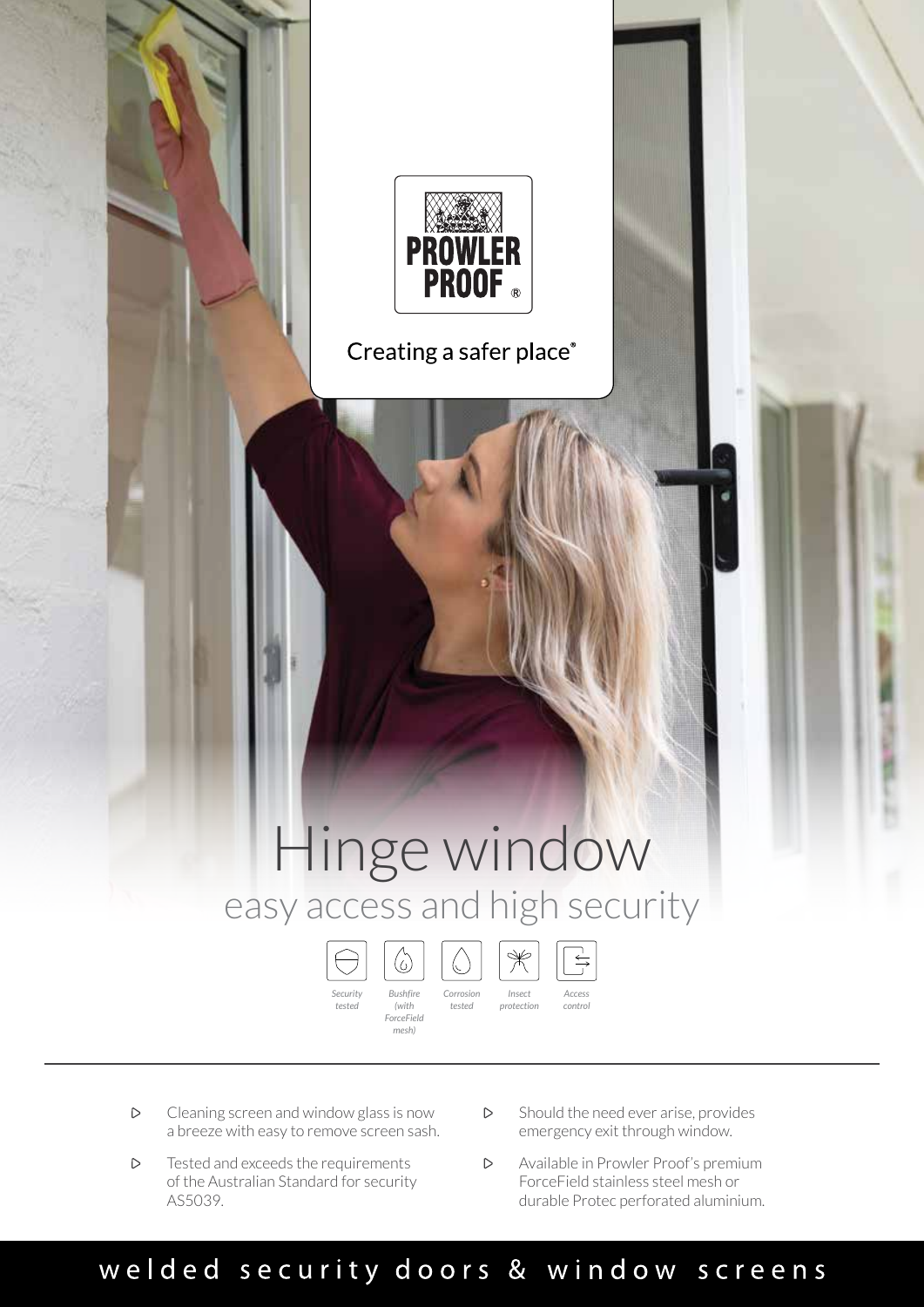

Creating a safer place®

## Hinge window easy access and high security

*tested*

 $\mathbb{C}$ 



*ForceField mesh)*



*protection*

*Access control*

 $\Rightarrow$ 

- $\triangleright$ Cleaning screen and window glass is now a breeze with easy to remove screen sash.
- Tested and exceeds the requirements  $\triangleright$ of the Australian Standard for security AS5039.
- $\triangleright$ Should the need ever arise, provides emergency exit through window.
- Available in Prowler Proof's premium  $\triangleright$ ForceField stainless steel mesh or durable Protec perforated aluminium.

## welded security doors & window screens